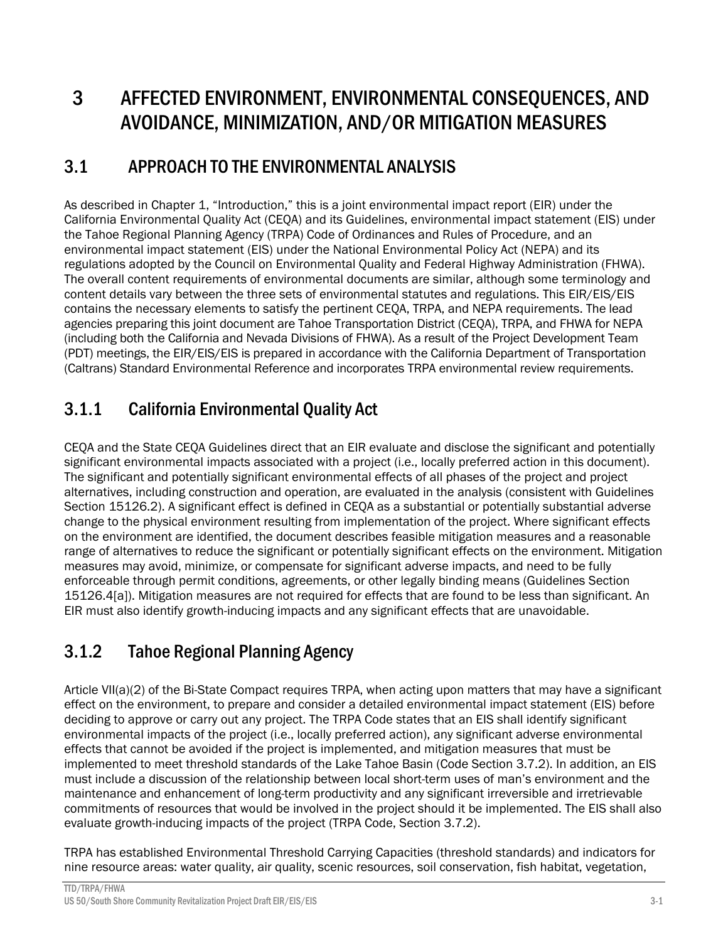# 3 AFFECTED ENVIRONMENT, ENVIRONMENTAL CONSEQUENCES, AND AVOIDANCE, MINIMIZATION, AND/OR MITIGATION MEASURES

### 3.1 APPROACH TO THE ENVIRONMENTAL ANALYSIS

As described in Chapter 1, "Introduction," this is a joint environmental impact report (EIR) under the California Environmental Quality Act (CEQA) and its Guidelines, environmental impact statement (EIS) under the Tahoe Regional Planning Agency (TRPA) Code of Ordinances and Rules of Procedure, and an environmental impact statement (EIS) under the National Environmental Policy Act (NEPA) and its regulations adopted by the Council on Environmental Quality and Federal Highway Administration (FHWA). The overall content requirements of environmental documents are similar, although some terminology and content details vary between the three sets of environmental statutes and regulations. This EIR/EIS/EIS contains the necessary elements to satisfy the pertinent CEQA, TRPA, and NEPA requirements. The lead agencies preparing this joint document are Tahoe Transportation District (CEQA), TRPA, and FHWA for NEPA (including both the California and Nevada Divisions of FHWA). As a result of the Project Development Team (PDT) meetings, the EIR/EIS/EIS is prepared in accordance with the California Department of Transportation (Caltrans) Standard Environmental Reference and incorporates TRPA environmental review requirements.

## 3.1.1 California Environmental Quality Act

CEQA and the State CEQA Guidelines direct that an EIR evaluate and disclose the significant and potentially significant environmental impacts associated with a project (i.e., locally preferred action in this document). The significant and potentially significant environmental effects of all phases of the project and project alternatives, including construction and operation, are evaluated in the analysis (consistent with Guidelines Section 15126.2). A significant effect is defined in CEQA as a substantial or potentially substantial adverse change to the physical environment resulting from implementation of the project. Where significant effects on the environment are identified, the document describes feasible mitigation measures and a reasonable range of alternatives to reduce the significant or potentially significant effects on the environment. Mitigation measures may avoid, minimize, or compensate for significant adverse impacts, and need to be fully enforceable through permit conditions, agreements, or other legally binding means (Guidelines Section 15126.4[a]). Mitigation measures are not required for effects that are found to be less than significant. An EIR must also identify growth-inducing impacts and any significant effects that are unavoidable.

## 3.1.2 Tahoe Regional Planning Agency

Article VII(a)(2) of the Bi-State Compact requires TRPA, when acting upon matters that may have a significant effect on the environment, to prepare and consider a detailed environmental impact statement (EIS) before deciding to approve or carry out any project. The TRPA Code states that an EIS shall identify significant environmental impacts of the project (i.e., locally preferred action), any significant adverse environmental effects that cannot be avoided if the project is implemented, and mitigation measures that must be implemented to meet threshold standards of the Lake Tahoe Basin (Code Section 3.7.2). In addition, an EIS must include a discussion of the relationship between local short-term uses of man's environment and the maintenance and enhancement of long-term productivity and any significant irreversible and irretrievable commitments of resources that would be involved in the project should it be implemented. The EIS shall also evaluate growth-inducing impacts of the project (TRPA Code, Section 3.7.2).

TRPA has established Environmental Threshold Carrying Capacities (threshold standards) and indicators for nine resource areas: water quality, air quality, scenic resources, soil conservation, fish habitat, vegetation,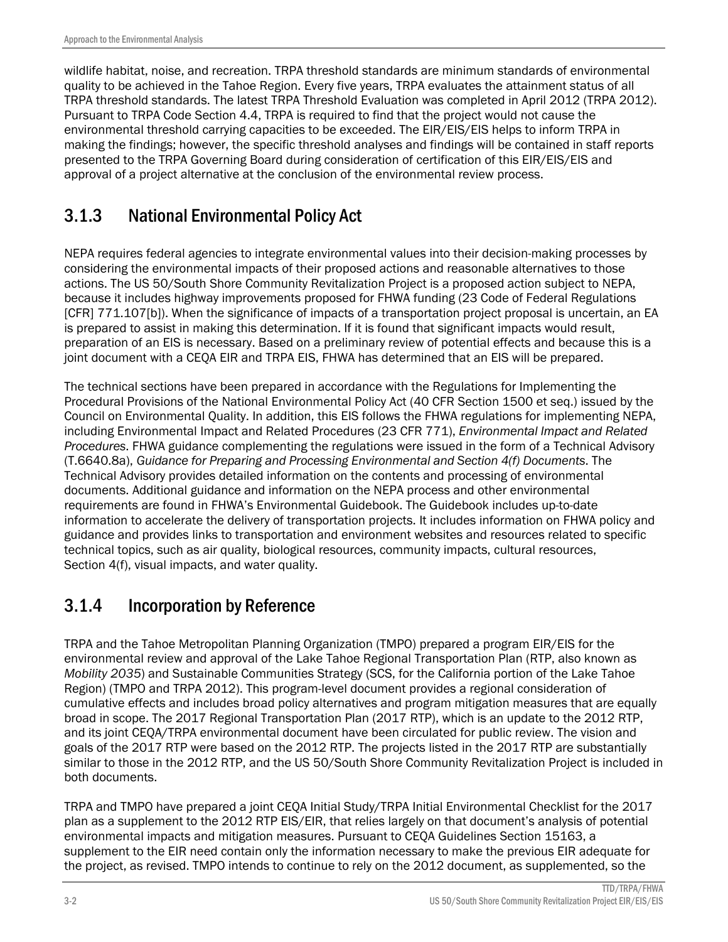wildlife habitat, noise, and recreation. TRPA threshold standards are minimum standards of environmental quality to be achieved in the Tahoe Region. Every five years, TRPA evaluates the attainment status of all TRPA threshold standards. The latest TRPA Threshold Evaluation was completed in April 2012 (TRPA 2012). Pursuant to TRPA Code Section 4.4, TRPA is required to find that the project would not cause the environmental threshold carrying capacities to be exceeded. The EIR/EIS/EIS helps to inform TRPA in making the findings; however, the specific threshold analyses and findings will be contained in staff reports presented to the TRPA Governing Board during consideration of certification of this EIR/EIS/EIS and approval of a project alternative at the conclusion of the environmental review process.

## 3.1.3 National Environmental Policy Act

NEPA requires federal agencies to integrate environmental values into their decision-making processes by considering the environmental impacts of their proposed actions and reasonable alternatives to those actions. The US 50/South Shore Community Revitalization Project is a proposed action subject to NEPA, because it includes highway improvements proposed for FHWA funding (23 Code of Federal Regulations [CFR] 771.107[b]). When the significance of impacts of a transportation project proposal is uncertain, an EA is prepared to assist in making this determination. If it is found that significant impacts would result, preparation of an EIS is necessary. Based on a preliminary review of potential effects and because this is a joint document with a CEQA EIR and TRPA EIS, FHWA has determined that an EIS will be prepared.

The technical sections have been prepared in accordance with the Regulations for Implementing the Procedural Provisions of the National Environmental Policy Act (40 CFR Section 1500 et seq.) issued by the Council on Environmental Quality. In addition, this EIS follows the FHWA regulations for implementing NEPA, including Environmental Impact and Related Procedures (23 CFR 771), *Environmental Impact and Related Procedures*. FHWA guidance complementing the regulations were issued in the form of a Technical Advisory (T.6640.8a), *Guidance for Preparing and Processing Environmental and Section 4(f) Documents*. The Technical Advisory provides detailed information on the contents and processing of environmental documents. Additional guidance and information on the NEPA process and other environmental requirements are found in FHWA's Environmental Guidebook. The Guidebook includes up-to-date information to accelerate the delivery of transportation projects. It includes information on FHWA policy and guidance and provides links to transportation and environment websites and resources related to specific technical topics, such as air quality, biological resources, community impacts, cultural resources, Section 4(f), visual impacts, and water quality.

## 3.1.4 Incorporation by Reference

TRPA and the Tahoe Metropolitan Planning Organization (TMPO) prepared a program EIR/EIS for the environmental review and approval of the Lake Tahoe Regional Transportation Plan (RTP, also known as *Mobility 2035*) and Sustainable Communities Strategy (SCS, for the California portion of the Lake Tahoe Region) (TMPO and TRPA 2012). This program-level document provides a regional consideration of cumulative effects and includes broad policy alternatives and program mitigation measures that are equally broad in scope. The 2017 Regional Transportation Plan (2017 RTP), which is an update to the 2012 RTP, and its joint CEQA/TRPA environmental document have been circulated for public review. The vision and goals of the 2017 RTP were based on the 2012 RTP. The projects listed in the 2017 RTP are substantially similar to those in the 2012 RTP, and the US 50/South Shore Community Revitalization Project is included in both documents.

TRPA and TMPO have prepared a joint CEQA Initial Study/TRPA Initial Environmental Checklist for the 2017 plan as a supplement to the 2012 RTP EIS/EIR, that relies largely on that document's analysis of potential environmental impacts and mitigation measures. Pursuant to CEQA Guidelines Section 15163, a supplement to the EIR need contain only the information necessary to make the previous EIR adequate for the project, as revised. TMPO intends to continue to rely on the 2012 document, as supplemented, so the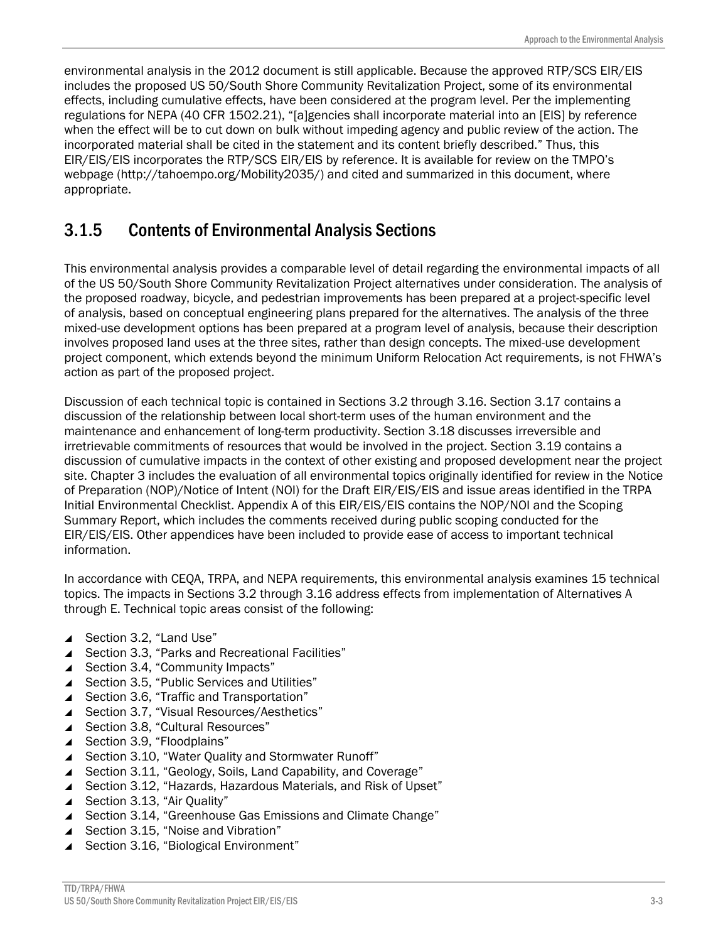environmental analysis in the 2012 document is still applicable. Because the approved RTP/SCS EIR/EIS includes the proposed US 50/South Shore Community Revitalization Project, some of its environmental effects, including cumulative effects, have been considered at the program level. Per the implementing regulations for NEPA (40 CFR 1502.21), "[a]gencies shall incorporate material into an [EIS] by reference when the effect will be to cut down on bulk without impeding agency and public review of the action. The incorporated material shall be cited in the statement and its content briefly described." Thus, this EIR/EIS/EIS incorporates the RTP/SCS EIR/EIS by reference. It is available for review on the TMPO's webpage (http://tahoempo.org/Mobility2035/) and cited and summarized in this document, where appropriate.

#### 3.1.5 Contents of Environmental Analysis Sections

This environmental analysis provides a comparable level of detail regarding the environmental impacts of all of the US 50/South Shore Community Revitalization Project alternatives under consideration. The analysis of the proposed roadway, bicycle, and pedestrian improvements has been prepared at a project-specific level of analysis, based on conceptual engineering plans prepared for the alternatives. The analysis of the three mixed-use development options has been prepared at a program level of analysis, because their description involves proposed land uses at the three sites, rather than design concepts. The mixed-use development project component, which extends beyond the minimum Uniform Relocation Act requirements, is not FHWA's action as part of the proposed project.

Discussion of each technical topic is contained in Sections 3.2 through 3.16. Section 3.17 contains a discussion of the relationship between local short-term uses of the human environment and the maintenance and enhancement of long-term productivity. Section 3.18 discusses irreversible and irretrievable commitments of resources that would be involved in the project. Section 3.19 contains a discussion of cumulative impacts in the context of other existing and proposed development near the project site. Chapter 3 includes the evaluation of all environmental topics originally identified for review in the Notice of Preparation (NOP)/Notice of Intent (NOI) for the Draft EIR/EIS/EIS and issue areas identified in the TRPA Initial Environmental Checklist. Appendix A of this EIR/EIS/EIS contains the NOP/NOI and the Scoping Summary Report, which includes the comments received during public scoping conducted for the EIR/EIS/EIS. Other appendices have been included to provide ease of access to important technical information.

In accordance with CEQA, TRPA, and NEPA requirements, this environmental analysis examines 15 technical topics. The impacts in Sections 3.2 through 3.16 address effects from implementation of Alternatives A through E. Technical topic areas consist of the following:

- ▲ Section 3.2, "Land Use"
- ▲ Section 3.3, "Parks and Recreational Facilities"
- ▲ Section 3.4, "Community Impacts"
- ▲ Section 3.5, "Public Services and Utilities"
- ▲ Section 3.6, "Traffic and Transportation"
- ▲ Section 3.7, "Visual Resources/Aesthetics"
- ▲ Section 3.8, "Cultural Resources"
- ▲ Section 3.9, "Floodplains"
- ▲ Section 3.10, "Water Quality and Stormwater Runoff"
- ▲ Section 3.11, "Geology, Soils, Land Capability, and Coverage"
- ▲ Section 3.12, "Hazards, Hazardous Materials, and Risk of Upset"
- ▲ Section 3.13, "Air Quality"
- ▲ Section 3.14, "Greenhouse Gas Emissions and Climate Change"
- ▲ Section 3.15, "Noise and Vibration"
- ▲ Section 3.16, "Biological Environment"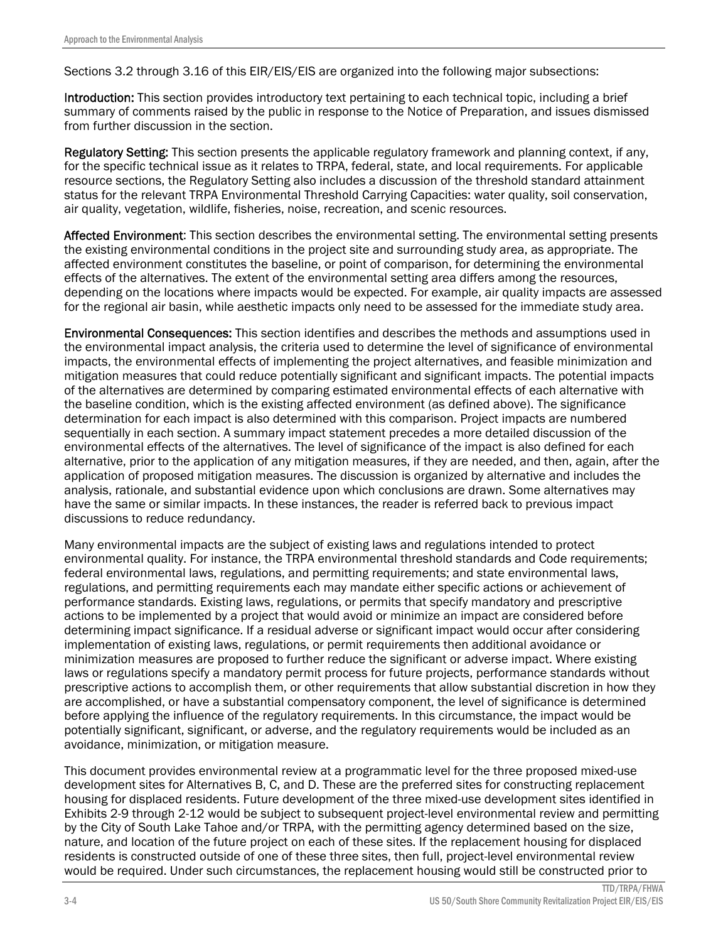Sections 3.2 through 3.16 of this EIR/EIS/EIS are organized into the following major subsections:

Introduction: This section provides introductory text pertaining to each technical topic, including a brief summary of comments raised by the public in response to the Notice of Preparation, and issues dismissed from further discussion in the section.

Regulatory Setting: This section presents the applicable regulatory framework and planning context, if any, for the specific technical issue as it relates to TRPA, federal, state, and local requirements. For applicable resource sections, the Regulatory Setting also includes a discussion of the threshold standard attainment status for the relevant TRPA Environmental Threshold Carrying Capacities: water quality, soil conservation, air quality, vegetation, wildlife, fisheries, noise, recreation, and scenic resources.

Affected Environment: This section describes the environmental setting. The environmental setting presents the existing environmental conditions in the project site and surrounding study area, as appropriate. The affected environment constitutes the baseline, or point of comparison, for determining the environmental effects of the alternatives. The extent of the environmental setting area differs among the resources, depending on the locations where impacts would be expected. For example, air quality impacts are assessed for the regional air basin, while aesthetic impacts only need to be assessed for the immediate study area.

Environmental Consequences: This section identifies and describes the methods and assumptions used in the environmental impact analysis, the criteria used to determine the level of significance of environmental impacts, the environmental effects of implementing the project alternatives, and feasible minimization and mitigation measures that could reduce potentially significant and significant impacts. The potential impacts of the alternatives are determined by comparing estimated environmental effects of each alternative with the baseline condition, which is the existing affected environment (as defined above). The significance determination for each impact is also determined with this comparison. Project impacts are numbered sequentially in each section. A summary impact statement precedes a more detailed discussion of the environmental effects of the alternatives. The level of significance of the impact is also defined for each alternative, prior to the application of any mitigation measures, if they are needed, and then, again, after the application of proposed mitigation measures. The discussion is organized by alternative and includes the analysis, rationale, and substantial evidence upon which conclusions are drawn. Some alternatives may have the same or similar impacts. In these instances, the reader is referred back to previous impact discussions to reduce redundancy.

Many environmental impacts are the subject of existing laws and regulations intended to protect environmental quality. For instance, the TRPA environmental threshold standards and Code requirements; federal environmental laws, regulations, and permitting requirements; and state environmental laws, regulations, and permitting requirements each may mandate either specific actions or achievement of performance standards. Existing laws, regulations, or permits that specify mandatory and prescriptive actions to be implemented by a project that would avoid or minimize an impact are considered before determining impact significance. If a residual adverse or significant impact would occur after considering implementation of existing laws, regulations, or permit requirements then additional avoidance or minimization measures are proposed to further reduce the significant or adverse impact. Where existing laws or regulations specify a mandatory permit process for future projects, performance standards without prescriptive actions to accomplish them, or other requirements that allow substantial discretion in how they are accomplished, or have a substantial compensatory component, the level of significance is determined before applying the influence of the regulatory requirements. In this circumstance, the impact would be potentially significant, significant, or adverse, and the regulatory requirements would be included as an avoidance, minimization, or mitigation measure.

This document provides environmental review at a programmatic level for the three proposed mixed-use development sites for Alternatives B, C, and D. These are the preferred sites for constructing replacement housing for displaced residents. Future development of the three mixed-use development sites identified in Exhibits 2-9 through 2-12 would be subject to subsequent project-level environmental review and permitting by the City of South Lake Tahoe and/or TRPA, with the permitting agency determined based on the size, nature, and location of the future project on each of these sites. If the replacement housing for displaced residents is constructed outside of one of these three sites, then full, project-level environmental review would be required. Under such circumstances, the replacement housing would still be constructed prior to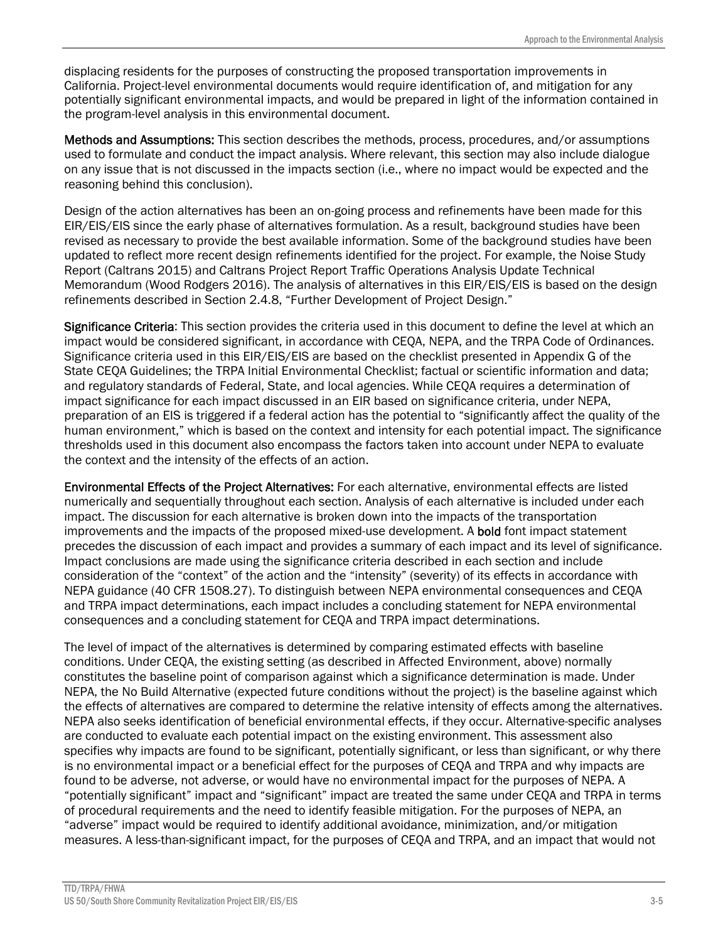displacing residents for the purposes of constructing the proposed transportation improvements in California. Project-level environmental documents would require identification of, and mitigation for any potentially significant environmental impacts, and would be prepared in light of the information contained in the program-level analysis in this environmental document.

Methods and Assumptions: This section describes the methods, process, procedures, and/or assumptions used to formulate and conduct the impact analysis. Where relevant, this section may also include dialogue on any issue that is not discussed in the impacts section (i.e., where no impact would be expected and the reasoning behind this conclusion).

Design of the action alternatives has been an on-going process and refinements have been made for this EIR/EIS/EIS since the early phase of alternatives formulation. As a result, background studies have been revised as necessary to provide the best available information. Some of the background studies have been updated to reflect more recent design refinements identified for the project. For example, the Noise Study Report (Caltrans 2015) and Caltrans Project Report Traffic Operations Analysis Update Technical Memorandum (Wood Rodgers 2016). The analysis of alternatives in this EIR/EIS/EIS is based on the design refinements described in Section 2.4.8, "Further Development of Project Design."

Significance Criteria: This section provides the criteria used in this document to define the level at which an impact would be considered significant, in accordance with CEQA, NEPA, and the TRPA Code of Ordinances. Significance criteria used in this EIR/EIS/EIS are based on the checklist presented in Appendix G of the State CEQA Guidelines; the TRPA Initial Environmental Checklist; factual or scientific information and data; and regulatory standards of Federal, State, and local agencies. While CEQA requires a determination of impact significance for each impact discussed in an EIR based on significance criteria, under NEPA, preparation of an EIS is triggered if a federal action has the potential to "significantly affect the quality of the human environment," which is based on the context and intensity for each potential impact. The significance thresholds used in this document also encompass the factors taken into account under NEPA to evaluate the context and the intensity of the effects of an action.

Environmental Effects of the Project Alternatives: For each alternative, environmental effects are listed numerically and sequentially throughout each section. Analysis of each alternative is included under each impact. The discussion for each alternative is broken down into the impacts of the transportation improvements and the impacts of the proposed mixed-use development. A **bold** font impact statement precedes the discussion of each impact and provides a summary of each impact and its level of significance. Impact conclusions are made using the significance criteria described in each section and include consideration of the "context" of the action and the "intensity" (severity) of its effects in accordance with NEPA guidance (40 CFR 1508.27). To distinguish between NEPA environmental consequences and CEQA and TRPA impact determinations, each impact includes a concluding statement for NEPA environmental consequences and a concluding statement for CEQA and TRPA impact determinations.

The level of impact of the alternatives is determined by comparing estimated effects with baseline conditions. Under CEQA, the existing setting (as described in Affected Environment, above) normally constitutes the baseline point of comparison against which a significance determination is made. Under NEPA, the No Build Alternative (expected future conditions without the project) is the baseline against which the effects of alternatives are compared to determine the relative intensity of effects among the alternatives. NEPA also seeks identification of beneficial environmental effects, if they occur. Alternative-specific analyses are conducted to evaluate each potential impact on the existing environment. This assessment also specifies why impacts are found to be significant, potentially significant, or less than significant, or why there is no environmental impact or a beneficial effect for the purposes of CEQA and TRPA and why impacts are found to be adverse, not adverse, or would have no environmental impact for the purposes of NEPA. A "potentially significant" impact and "significant" impact are treated the same under CEQA and TRPA in terms of procedural requirements and the need to identify feasible mitigation. For the purposes of NEPA, an "adverse" impact would be required to identify additional avoidance, minimization, and/or mitigation measures. A less-than-significant impact, for the purposes of CEQA and TRPA, and an impact that would not